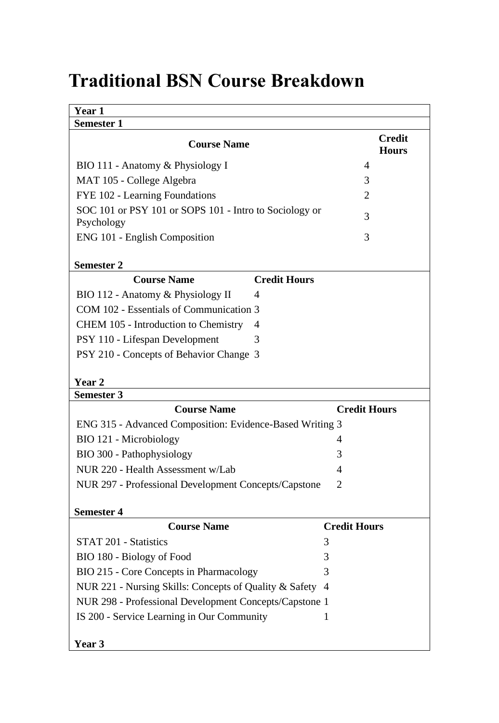## **Traditional BSN Course Breakdown**

| Year 1                                                               |                     |                               |  |
|----------------------------------------------------------------------|---------------------|-------------------------------|--|
| Semester 1                                                           |                     |                               |  |
| <b>Course Name</b>                                                   |                     | <b>Credit</b><br><b>Hours</b> |  |
| BIO 111 - Anatomy & Physiology I                                     |                     | 4                             |  |
| MAT 105 - College Algebra                                            |                     | 3                             |  |
| FYE 102 - Learning Foundations                                       |                     | 2                             |  |
| SOC 101 or PSY 101 or SOPS 101 - Intro to Sociology or<br>Psychology |                     | 3                             |  |
| ENG 101 - English Composition                                        |                     | 3                             |  |
| <b>Semester 2</b>                                                    |                     |                               |  |
| <b>Course Name</b>                                                   | <b>Credit Hours</b> |                               |  |
| BIO 112 - Anatomy & Physiology II                                    | 4                   |                               |  |
| COM 102 - Essentials of Communication 3                              |                     |                               |  |
| CHEM 105 - Introduction to Chemistry                                 | 4                   |                               |  |
| PSY 110 - Lifespan Development                                       | 3                   |                               |  |
| PSY 210 - Concepts of Behavior Change 3                              |                     |                               |  |
|                                                                      |                     |                               |  |
| Year 2                                                               |                     |                               |  |
| <b>Semester 3</b>                                                    |                     |                               |  |
| <b>Course Name</b>                                                   |                     | <b>Credit Hours</b>           |  |
| ENG 315 - Advanced Composition: Evidence-Based Writing 3             |                     |                               |  |
| BIO 121 - Microbiology                                               |                     | 4                             |  |
| BIO 300 - Pathophysiology                                            |                     | 3                             |  |
| NUR 220 - Health Assessment w/Lab                                    |                     | 4                             |  |
| NUR 297 - Professional Development Concepts/Capstone                 |                     | $\overline{2}$                |  |
| <b>Semester 4</b>                                                    |                     |                               |  |
| <b>Course Name</b>                                                   |                     | <b>Credit Hours</b>           |  |
| STAT 201 - Statistics                                                | 3                   |                               |  |
| BIO 180 - Biology of Food                                            | 3                   |                               |  |
| BIO 215 - Core Concepts in Pharmacology                              | 3                   |                               |  |
| NUR 221 - Nursing Skills: Concepts of Quality & Safety 4             |                     |                               |  |
| NUR 298 - Professional Development Concepts/Capstone 1               |                     |                               |  |
| IS 200 - Service Learning in Our Community                           | 1                   |                               |  |
| Year 3                                                               |                     |                               |  |